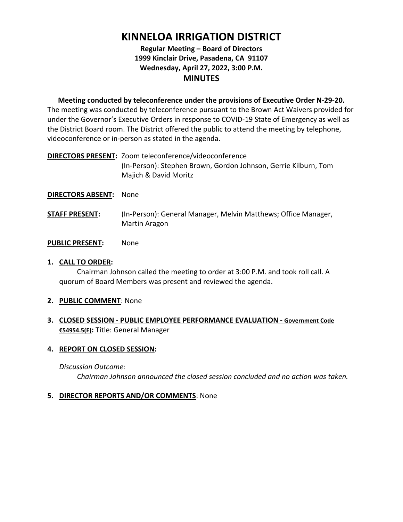# **KINNELOA IRRIGATION DISTRICT**

# **Regular Meeting – Board of Directors 1999 Kinclair Drive, Pasadena, CA 91107 Wednesday, April 27, 2022, 3:00 P.M. MINUTES**

**Meeting conducted by teleconference under the provisions of Executive Order N-29-20.** The meeting was conducted by teleconference pursuant to the Brown Act Waivers provided for under the Governor's Executive Orders in response to COVID-19 State of Emergency as well as the District Board room. The District offered the public to attend the meeting by telephone, videoconference or in-person as stated in the agenda.

**DIRECTORS PRESENT:** Zoom teleconference/videoconference (In-Person): Stephen Brown, Gordon Johnson, Gerrie Kilburn, Tom Majich & David Moritz

#### **DIRECTORS ABSENT:** None

**STAFF PRESENT:** (In-Person): General Manager, Melvin Matthews; Office Manager, Martin Aragon

#### **PUBLIC PRESENT:** None

# **1. CALL TO ORDER:**

Chairman Johnson called the meeting to order at 3:00 P.M. and took roll call. A quorum of Board Members was present and reviewed the agenda.

- **2. PUBLIC COMMENT**: None
- **3. CLOSED SESSION - PUBLIC EMPLOYEE PERFORMANCE EVALUATION - Government Code €54954.5(E):** Title: General Manager

#### **4. REPORT ON CLOSED SESSION:**

#### *Discussion Outcome:*

*Chairman Johnson announced the closed session concluded and no action was taken.* 

#### **5. DIRECTOR REPORTS AND/OR COMMENTS**: None